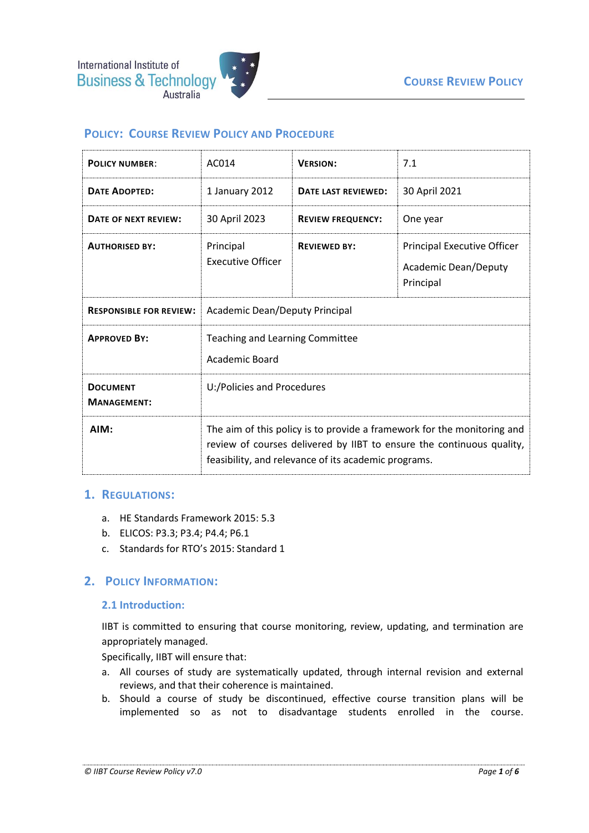# **POLICY: COURSE REVIEW POLICY AND PROCEDURE**

| <b>POLICY NUMBER:</b>                 | AC014                                                                                                                                                                                                    | <b>VERSION:</b>          | 7.1                                                                            |
|---------------------------------------|----------------------------------------------------------------------------------------------------------------------------------------------------------------------------------------------------------|--------------------------|--------------------------------------------------------------------------------|
| <b>DATE ADOPTED:</b>                  | 1 January 2012                                                                                                                                                                                           | DATE LAST REVIEWED:      | 30 April 2021                                                                  |
| DATE OF NEXT REVIEW:                  | 30 April 2023                                                                                                                                                                                            | <b>REVIEW FREQUENCY:</b> | One year                                                                       |
| <b>AUTHORISED BY:</b>                 | Principal<br><b>Executive Officer</b>                                                                                                                                                                    | <b>REVIEWED BY:</b>      | <b>Principal Executive Officer</b><br><b>Academic Dean/Deputy</b><br>Principal |
| <b>RESPONSIBLE FOR REVIEW:</b>        | Academic Dean/Deputy Principal                                                                                                                                                                           |                          |                                                                                |
| <b>APPROVED BY:</b>                   | <b>Teaching and Learning Committee</b><br><b>Academic Board</b>                                                                                                                                          |                          |                                                                                |
| <b>DOCUMENT</b><br><b>MANAGEMENT:</b> | U:/Policies and Procedures                                                                                                                                                                               |                          |                                                                                |
| AIM:                                  | The aim of this policy is to provide a framework for the monitoring and<br>review of courses delivered by IIBT to ensure the continuous quality,<br>feasibility, and relevance of its academic programs. |                          |                                                                                |

### **1. REGULATIONS:**

- a. HE Standards Framework 2015: 5.3
- b. ELICOS: P3.3; P3.4; P4.4; P6.1
- c. Standards for RTO's 2015: Standard 1

### **2. POLICY INFORMATION:**

#### **2.1 Introduction:**

IIBT is committed to ensuring that course monitoring, review, updating, and termination are appropriately managed.

Specifically, IIBT will ensure that:

- a. All courses of study are systematically updated, through internal revision and external reviews, and that their coherence is maintained.
- b. Should a course of study be discontinued, effective course transition plans will be implemented so as not to disadvantage students enrolled in the course.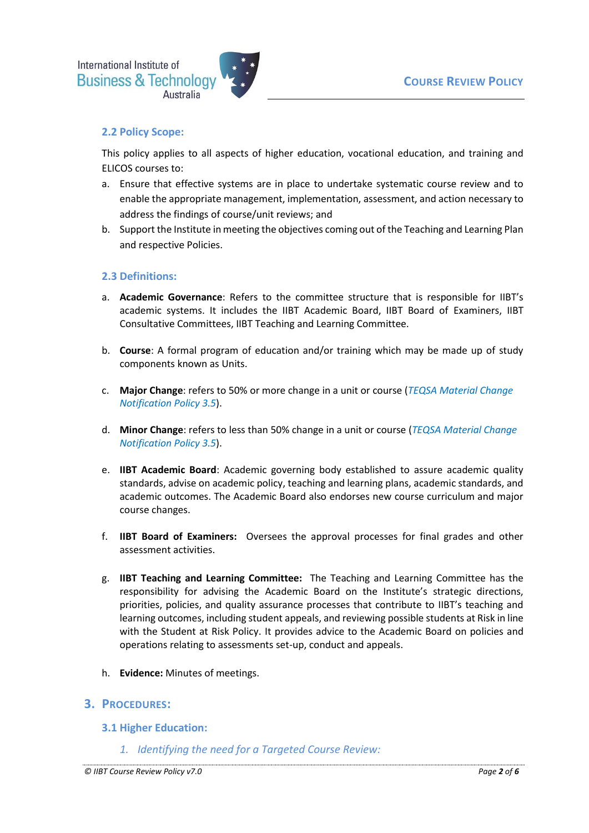

## **2.2 Policy Scope:**

This policy applies to all aspects of higher education, vocational education, and training and ELICOS courses to:

- a. Ensure that effective systems are in place to undertake systematic course review and to enable the appropriate management, implementation, assessment, and action necessary to address the findings of course/unit reviews; and
- b. Support the Institute in meeting the objectives coming out of the Teaching and Learning Plan and respective Policies.

### **2.3 Definitions:**

- a. **Academic Governance**: Refers to the committee structure that is responsible for IIBT's academic systems. It includes the IIBT Academic Board, IIBT Board of Examiners, IIBT Consultative Committees, IIBT Teaching and Learning Committee.
- b. **Course**: A formal program of education and/or training which may be made up of study components known as Units.
- c. **Major Change**: refers to 50% or more change in a unit or course (*TEQSA Material Change Notification Policy 3.5*).
- d. **Minor Change**: refers to less than 50% change in a unit or course (*TEQSA Material Change Notification Policy 3.5*).
- e. **IIBT Academic Board**: Academic governing body established to assure academic quality standards, advise on academic policy, teaching and learning plans, academic standards, and academic outcomes. The Academic Board also endorses new course curriculum and major course changes.
- f. **IIBT Board of Examiners:** Oversees the approval processes for final grades and other assessment activities.
- g. **IIBT Teaching and Learning Committee:** The Teaching and Learning Committee has the responsibility for advising the Academic Board on the Institute's strategic directions, priorities, policies, and quality assurance processes that contribute to IIBT's teaching and learning outcomes, including student appeals, and reviewing possible students at Risk in line with the Student at Risk Policy. It provides advice to the Academic Board on policies and operations relating to assessments set-up, conduct and appeals.
- h. **Evidence:** Minutes of meetings.

### **3. PROCEDURES:**

- **3.1 Higher Education:**
	- *1. Identifying the need for a Targeted Course Review:*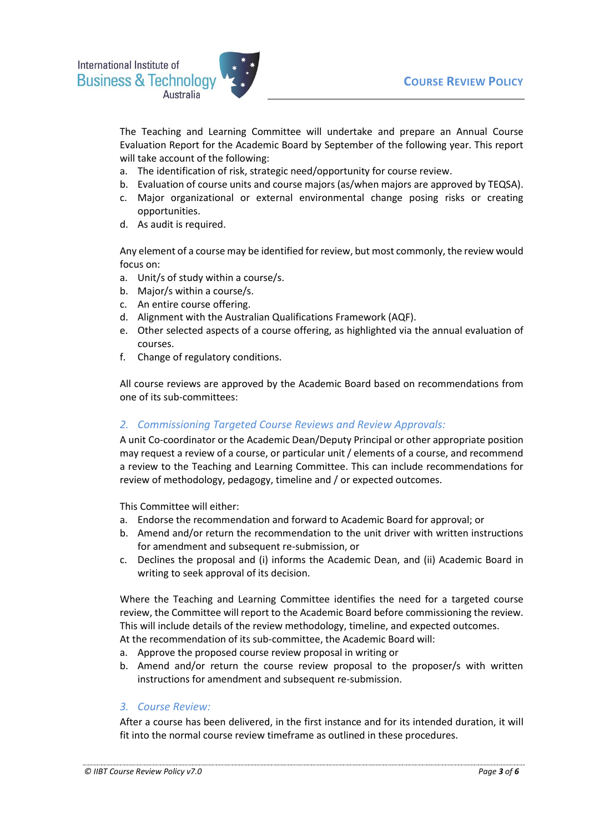

The Teaching and Learning Committee will undertake and prepare an Annual Course Evaluation Report for the Academic Board by September of the following year. This report will take account of the following:

- a. The identification of risk, strategic need/opportunity for course review.
- b. Evaluation of course units and course majors (as/when majors are approved by TEQSA).
- c. Major organizational or external environmental change posing risks or creating opportunities.
- d. As audit is required.

Any element of a course may be identified for review, but most commonly, the review would focus on:

- a. Unit/s of study within a course/s.
- b. Major/s within a course/s.
- c. An entire course offering.
- d. Alignment with the Australian Qualifications Framework (AQF).
- e. Other selected aspects of a course offering, as highlighted via the annual evaluation of courses.
- f. Change of regulatory conditions.

All course reviews are approved by the Academic Board based on recommendations from one of its sub-committees:

## *2. Commissioning Targeted Course Reviews and Review Approvals:*

A unit Co-coordinator or the Academic Dean/Deputy Principal or other appropriate position may request a review of a course, or particular unit / elements of a course, and recommend a review to the Teaching and Learning Committee. This can include recommendations for review of methodology, pedagogy, timeline and / or expected outcomes.

This Committee will either:

- a. Endorse the recommendation and forward to Academic Board for approval; or
- b. Amend and/or return the recommendation to the unit driver with written instructions for amendment and subsequent re-submission, or
- c. Declines the proposal and (i) informs the Academic Dean, and (ii) Academic Board in writing to seek approval of its decision.

Where the Teaching and Learning Committee identifies the need for a targeted course review, the Committee will report to the Academic Board before commissioning the review. This will include details of the review methodology, timeline, and expected outcomes. At the recommendation of its sub-committee, the Academic Board will:

- a. Approve the proposed course review proposal in writing or
- b. Amend and/or return the course review proposal to the proposer/s with written instructions for amendment and subsequent re-submission.

### *3. Course Review:*

After a course has been delivered, in the first instance and for its intended duration, it will fit into the normal course review timeframe as outlined in these procedures.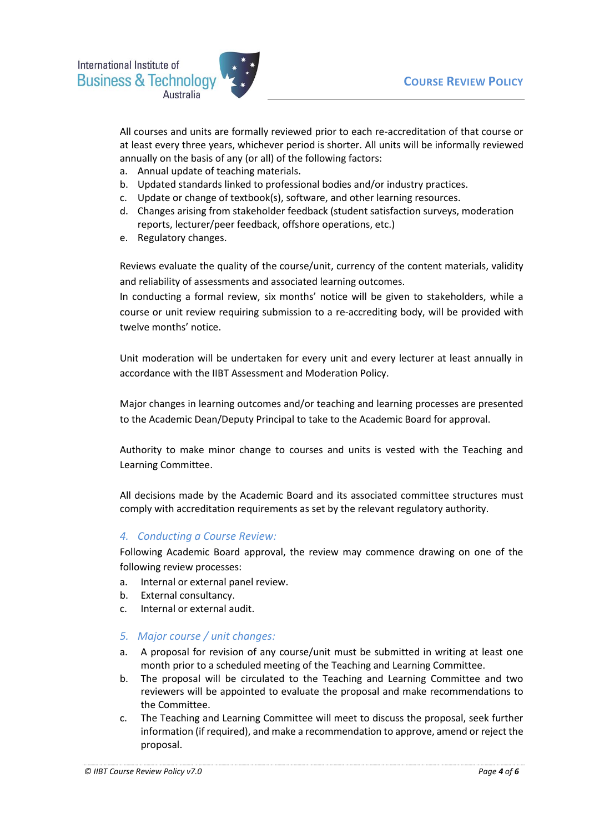

All courses and units are formally reviewed prior to each re-accreditation of that course or at least every three years, whichever period is shorter. All units will be informally reviewed annually on the basis of any (or all) of the following factors:

- a. Annual update of teaching materials.
- b. Updated standards linked to professional bodies and/or industry practices.
- c. Update or change of textbook(s), software, and other learning resources.
- d. Changes arising from stakeholder feedback (student satisfaction surveys, moderation reports, lecturer/peer feedback, offshore operations, etc.)
- e. Regulatory changes.

Reviews evaluate the quality of the course/unit, currency of the content materials, validity and reliability of assessments and associated learning outcomes.

In conducting a formal review, six months' notice will be given to stakeholders, while a course or unit review requiring submission to a re-accrediting body, will be provided with twelve months' notice.

Unit moderation will be undertaken for every unit and every lecturer at least annually in accordance with the IIBT Assessment and Moderation Policy.

Major changes in learning outcomes and/or teaching and learning processes are presented to the Academic Dean/Deputy Principal to take to the Academic Board for approval.

Authority to make minor change to courses and units is vested with the Teaching and Learning Committee.

All decisions made by the Academic Board and its associated committee structures must comply with accreditation requirements as set by the relevant regulatory authority.

### *4. Conducting a Course Review:*

Following Academic Board approval, the review may commence drawing on one of the following review processes:

- a. Internal or external panel review.
- b. External consultancy.
- c. Internal or external audit.
- *5. Major course / unit changes:*
- a. A proposal for revision of any course/unit must be submitted in writing at least one month prior to a scheduled meeting of the Teaching and Learning Committee.
- b. The proposal will be circulated to the Teaching and Learning Committee and two reviewers will be appointed to evaluate the proposal and make recommendations to the Committee.
- c. The Teaching and Learning Committee will meet to discuss the proposal, seek further information (if required), and make a recommendation to approve, amend or reject the proposal.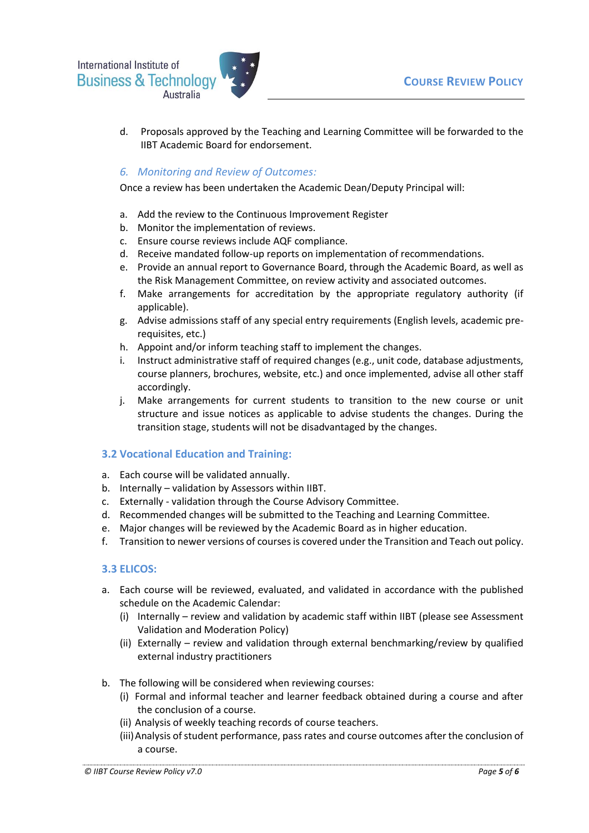International Institute of **Business & Technology** Australia



d. Proposals approved by the Teaching and Learning Committee will be forwarded to the IIBT Academic Board for endorsement.

# *6. Monitoring and Review of Outcomes:*

Once a review has been undertaken the Academic Dean/Deputy Principal will:

- a. Add the review to the Continuous Improvement Register
- b. Monitor the implementation of reviews.
- c. Ensure course reviews include AQF compliance.
- d. Receive mandated follow-up reports on implementation of recommendations.
- e. Provide an annual report to Governance Board, through the Academic Board, as well as the Risk Management Committee, on review activity and associated outcomes.
- f. Make arrangements for accreditation by the appropriate regulatory authority (if applicable).
- g. Advise admissions staff of any special entry requirements (English levels, academic prerequisites, etc.)
- h. Appoint and/or inform teaching staff to implement the changes.
- i. Instruct administrative staff of required changes (e.g., unit code, database adjustments, course planners, brochures, website, etc.) and once implemented, advise all other staff accordingly.
- j. Make arrangements for current students to transition to the new course or unit structure and issue notices as applicable to advise students the changes. During the transition stage, students will not be disadvantaged by the changes.

### **3.2 Vocational Education and Training:**

- a. Each course will be validated annually.
- b. Internally validation by Assessors within IIBT.
- c. Externally validation through the Course Advisory Committee.
- d. Recommended changes will be submitted to the Teaching and Learning Committee.
- e. Major changes will be reviewed by the Academic Board as in higher education.
- f. Transition to newer versions of courses is covered under the Transition and Teach out policy.

### **3.3 ELICOS:**

- a. Each course will be reviewed, evaluated, and validated in accordance with the published schedule on the Academic Calendar:
	- (i) Internally review and validation by academic staff within IIBT (please see Assessment Validation and Moderation Policy)
	- (ii) Externally review and validation through external benchmarking/review by qualified external industry practitioners
- b. The following will be considered when reviewing courses:
	- (i) Formal and informal teacher and learner feedback obtained during a course and after the conclusion of a course.
	- (ii) Analysis of weekly teaching records of course teachers.
	- (iii)Analysis of student performance, pass rates and course outcomes after the conclusion of a course.